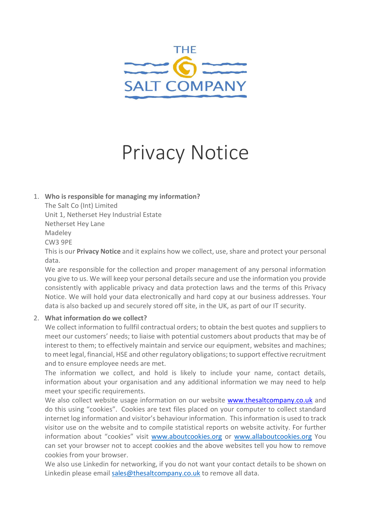

# Privacy Notice

1. **Who is responsible for managing my information?**

The Salt Co (Int) Limited Unit 1, Netherset Hey Industrial Estate

Netherset Hey Lane

Madeley

CW3 9PE

This is our **Privacy Notice** and it explains how we collect, use, share and protect your personal data.

We are responsible for the collection and proper management of any personal information you give to us. We will keep your personal details secure and use the information you provide consistently with applicable privacy and data protection laws and the terms of this Privacy Notice. We will hold your data electronically and hard copy at our business addresses. Your data is also backed up and securely stored off site, in the UK, as part of our IT security.

# 2. **What information do we collect?**

We collect information to fullfil contractual orders; to obtain the best quotes and suppliers to meet our customers' needs; to liaise with potential customers about products that may be of interest to them; to effectively maintain and service our equipment, websites and machines; to meet legal, financial, HSE and other regulatory obligations; to support effective recruitment and to ensure employee needs are met.

The information we collect, and hold is likely to include your name, contact details, information about your organisation and any additional information we may need to help meet your specific requirements.

We also collect website usage information on our website [www.thesaltcompany.co.uk](http://www.thesaltcompany.co.uk/) and do this using "cookies". Cookies are text files placed on your computer to collect standard internet log information and visitor's behaviour information. This information is used to track visitor use on the website and to compile statistical reports on website activity. For further information about "cookies" visit [www.aboutcookies.org](http://www.aboutcookies.org/) or [www.allaboutcookies.org](http://www.allaboutcookies.org/) You can set your browser not to accept cookies and the above websites tell you how to remove cookies from your browser.

We also use Linkedin for networking, if you do not want your contact details to be shown on Linkedin please email [sales@thesaltcompany.co.uk](mailto:sales@thesaltcompany.co.uk) to remove all data.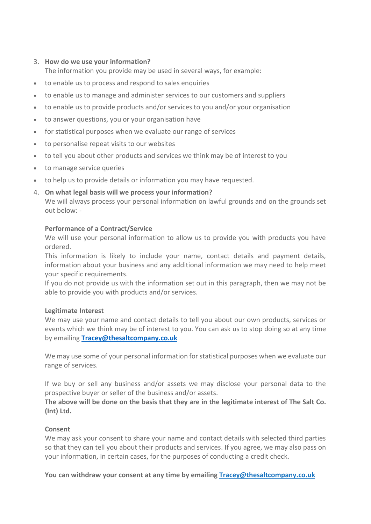# 3. **How do we use your information?**

The information you provide may be used in several ways, for example:

- to enable us to process and respond to sales enquiries
- to enable us to manage and administer services to our customers and suppliers
- to enable us to provide products and/or services to you and/or your organisation
- to answer questions, you or your organisation have
- for statistical purposes when we evaluate our range of services
- to personalise repeat visits to our websites
- to tell you about other products and services we think may be of interest to you
- to manage service queries
- to help us to provide details or information you may have requested.

#### 4. **On what legal basis will we process your information?**

We will always process your personal information on lawful grounds and on the grounds set out below: -

#### **Performance of a Contract/Service**

We will use your personal information to allow us to provide you with products you have ordered.

This information is likely to include your name, contact details and payment details, information about your business and any additional information we may need to help meet your specific requirements.

If you do not provide us with the information set out in this paragraph, then we may not be able to provide you with products and/or services.

#### **Legitimate Interest**

We may use your name and contact details to tell you about our own products, services or events which we think may be of interest to you. You can ask us to stop doing so at any time by emailing **[Tracey@thesaltcompany.co.uk](mailto:Tracey@thesaltcompany.co.uk)**

We may use some of your personal information for statistical purposes when we evaluate our range of services.

If we buy or sell any business and/or assets we may disclose your personal data to the prospective buyer or seller of the business and/or assets.

The above will be done on the basis that they are in the legitimate interest of The Salt Co. **(Int) Ltd.**

# **Consent**

We may ask your consent to share your name and contact details with selected third parties so that they can tell you about their products and services. If you agree, we may also pass on your information, in certain cases, for the purposes of conducting a credit check.

**You can withdraw your consent at any time by emailing Tracey@thesaltcompany.co.uk**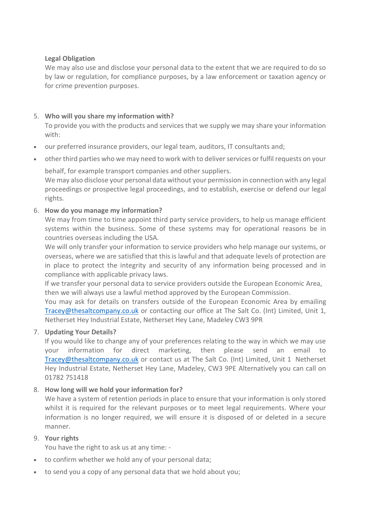# **Legal Obligation**

We may also use and disclose your personal data to the extent that we are required to do so by law or regulation, for compliance purposes, by a law enforcement or taxation agency or for crime prevention purposes.

# 5. **Who will you share my information with?**

To provide you with the products and services that we supply we may share your information with:

- our preferred insurance providers, our legal team, auditors, IT consultants and;
- other third parties who we may need to work with to deliver services or fulfil requests on your

behalf, for example transport companies and other suppliers.

We may also disclose your personal data without your permission in connection with any legal proceedings or prospective legal proceedings, and to establish, exercise or defend our legal rights.

# 6. **How do you manage my information?**

We may from time to time appoint third party service providers, to help us manage efficient systems within the business. Some of these systems may for operational reasons be in countries overseas including the USA.

We will only transfer your information to service providers who help manage our systems, or overseas, where we are satisfied that this is lawful and that adequate levels of protection are in place to protect the integrity and security of any information being processed and in compliance with applicable privacy laws.

If we transfer your personal data to service providers outside the European Economic Area, then we will always use a lawful method approved by the European Commission.

You may ask for details on transfers outside of the European Economic Area by emailing [Tracey@thesaltcompany.co.uk](mailto:Tracey@thesaltcompany.co.uk) or contacting our office at The Salt Co. (Int) Limited, Unit 1, Netherset Hey Industrial Estate, Netherset Hey Lane, Madeley CW3 9PR

# 7. **Updating Your Details?**

If you would like to change any of your preferences relating to the way in which we may use your information for direct marketing, then please send an email to [Tracey@thesaltcompany.co.uk](mailto:Tracey@thesaltcompany.co.uk) or contact us at The Salt Co. (Int) Limited, Unit 1 Netherset Hey Industrial Estate, Netherset Hey Lane, Madeley, CW3 9PE Alternatively you can call on 01782 751418

# 8. **How long will we hold your information for?**

We have a system of retention periods in place to ensure that your information is only stored whilst it is required for the relevant purposes or to meet legal requirements. Where your information is no longer required, we will ensure it is disposed of or deleted in a secure manner.

# 9. **Your rights**

You have the right to ask us at any time: -

- to confirm whether we hold any of your personal data;
- to send you a copy of any personal data that we hold about you;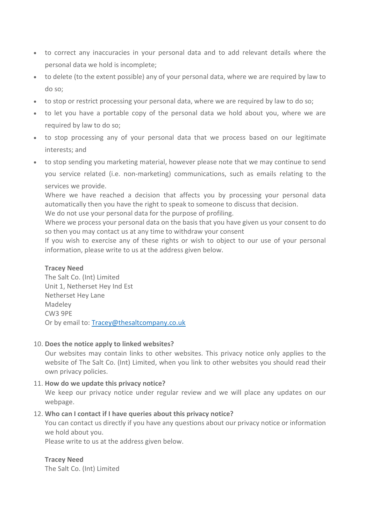- to correct any inaccuracies in your personal data and to add relevant details where the personal data we hold is incomplete;
- to delete (to the extent possible) any of your personal data, where we are required by law to do so;
- to stop or restrict processing your personal data, where we are required by law to do so;
- to let you have a portable copy of the personal data we hold about you, where we are required by law to do so;
- to stop processing any of your personal data that we process based on our legitimate interests; and
- to stop sending you marketing material, however please note that we may continue to send you service related (i.e. non-marketing) communications, such as emails relating to the services we provide.

Where we have reached a decision that affects you by processing your personal data automatically then you have the right to speak to someone to discuss that decision.

We do not use your personal data for the purpose of profiling.

Where we process your personal data on the basis that you have given us your consent to do so then you may contact us at any time to withdraw your consent

If you wish to exercise any of these rights or wish to object to our use of your personal information, please write to us at the address given below.

#### **Tracey Need**

The Salt Co. (Int) Limited Unit 1, Netherset Hey Ind Est Netherset Hey Lane Madeley CW3 9PE Or by email to: Tracey@thesaltcompany.co.uk

#### 10. **Does the notice apply to linked websites?**

Our websites may contain links to other websites. This privacy notice only applies to the website of The Salt Co. (Int) Limited, when you link to other websites you should read their own privacy policies.

#### 11. **How do we update this privacy notice?**

We keep our privacy notice under regular review and we will place any updates on our webpage.

#### 12. **Who can I contact if I have queries about this privacy notice?**

You can contact us directly if you have any questions about our privacy notice or information we hold about you.

Please write to us at the address given below.

#### **Tracey Need**

The Salt Co. (Int) Limited